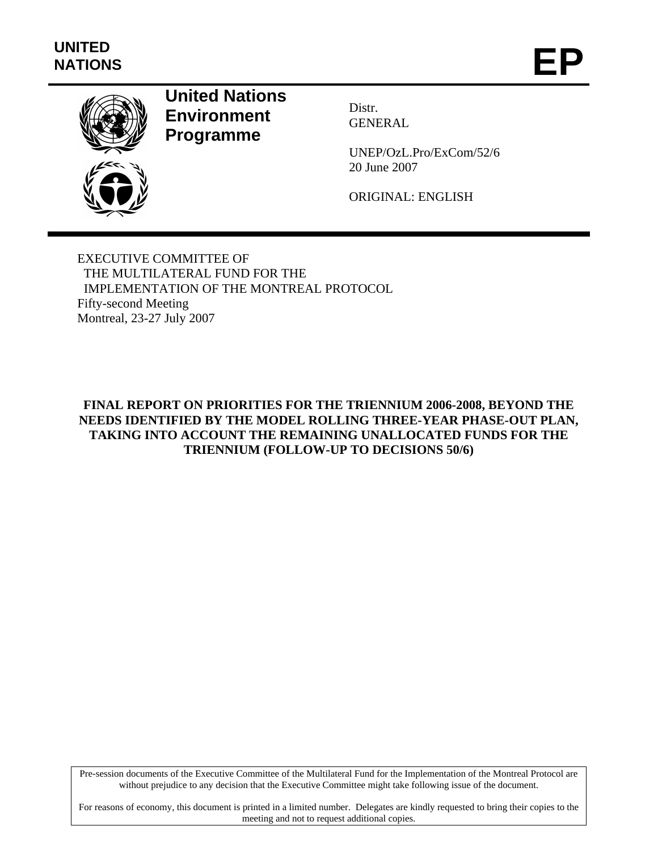

# **United Nations Environment Programme**

Distr. GENERAL

UNEP/OzL.Pro/ExCom/52/6 20 June 2007

ORIGINAL: ENGLISH

EXECUTIVE COMMITTEE OF THE MULTILATERAL FUND FOR THE IMPLEMENTATION OF THE MONTREAL PROTOCOL Fifty-second Meeting Montreal, 23-27 July 2007

**FINAL REPORT ON PRIORITIES FOR THE TRIENNIUM 2006-2008, BEYOND THE NEEDS IDENTIFIED BY THE MODEL ROLLING THREE-YEAR PHASE-OUT PLAN, TAKING INTO ACCOUNT THE REMAINING UNALLOCATED FUNDS FOR THE TRIENNIUM (FOLLOW-UP TO DECISIONS 50/6)** 

Pre-session documents of the Executive Committee of the Multilateral Fund for the Implementation of the Montreal Protocol are without prejudice to any decision that the Executive Committee might take following issue of the document.

For reasons of economy, this document is printed in a limited number. Delegates are kindly requested to bring their copies to the meeting and not to request additional copies.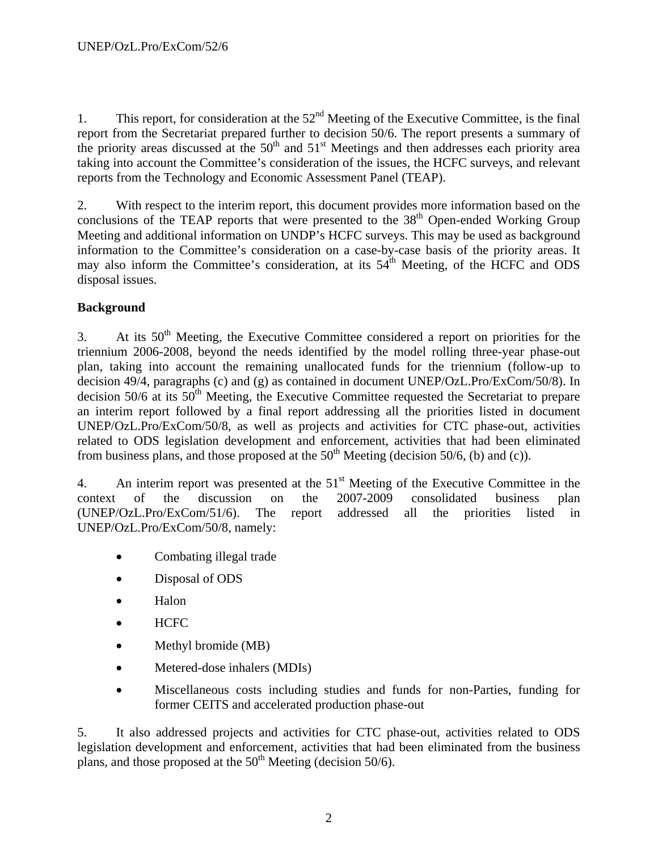1. This report, for consideration at the  $52<sup>nd</sup>$  Meeting of the Executive Committee, is the final report from the Secretariat prepared further to decision 50/6. The report presents a summary of the priority areas discussed at the  $50<sup>th</sup>$  and  $51<sup>st</sup>$  Meetings and then addresses each priority area taking into account the Committee's consideration of the issues, the HCFC surveys, and relevant reports from the Technology and Economic Assessment Panel (TEAP).

2. With respect to the interim report, this document provides more information based on the conclusions of the TEAP reports that were presented to the  $38<sup>th</sup>$  Open-ended Working Group Meeting and additional information on UNDP's HCFC surveys. This may be used as background information to the Committee's consideration on a case-by-case basis of the priority areas. It may also inform the Committee's consideration, at its  $54<sup>th</sup>$  Meeting, of the HCFC and ODS disposal issues.

# **Background**

3. At its  $50<sup>th</sup>$  Meeting, the Executive Committee considered a report on priorities for the triennium 2006-2008, beyond the needs identified by the model rolling three-year phase-out plan, taking into account the remaining unallocated funds for the triennium (follow-up to decision 49/4, paragraphs (c) and (g) as contained in document UNEP/OzL.Pro/ExCom/50/8). In decision  $50/6$  at its  $50<sup>th</sup>$  Meeting, the Executive Committee requested the Secretariat to prepare an interim report followed by a final report addressing all the priorities listed in document UNEP/OzL.Pro/ExCom/50/8, as well as projects and activities for CTC phase-out, activities related to ODS legislation development and enforcement, activities that had been eliminated from business plans, and those proposed at the  $50<sup>th</sup>$  Meeting (decision 50/6, (b) and (c)).

4. An interim report was presented at the  $51<sup>st</sup>$  Meeting of the Executive Committee in the context of the discussion on the 2007-2009 consolidated business plan (UNEP/OzL.Pro/ExCom/51/6). The report addressed all the priorities listed in UNEP/OzL.Pro/ExCom/50/8, namely:

- Combating illegal trade
- Disposal of ODS
- Halon
- HCFC
- Methyl bromide (MB)
- Metered-dose inhalers (MDIs)
- Miscellaneous costs including studies and funds for non-Parties, funding for former CEITS and accelerated production phase-out

5. It also addressed projects and activities for CTC phase-out, activities related to ODS legislation development and enforcement, activities that had been eliminated from the business plans, and those proposed at the  $50<sup>th</sup>$  Meeting (decision 50/6).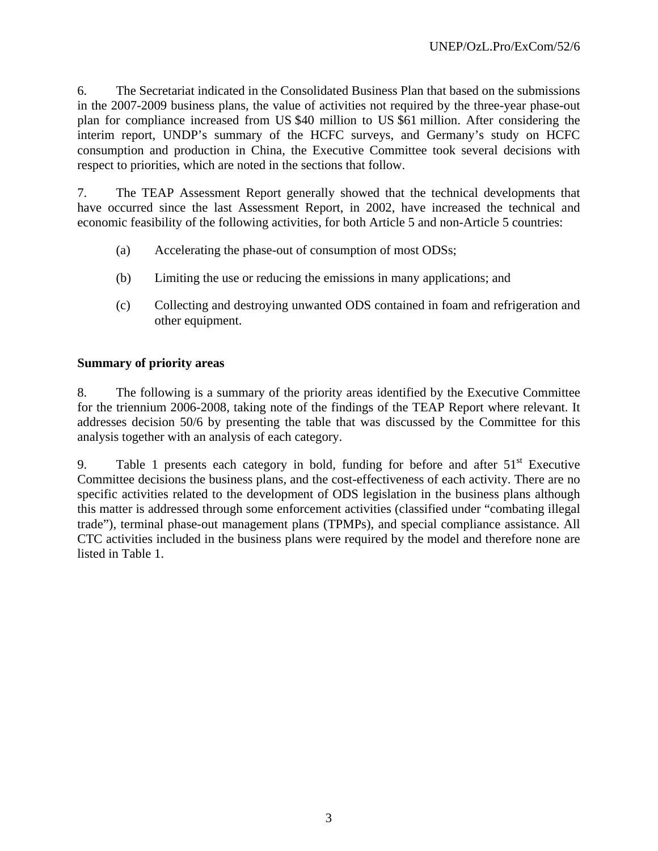6. The Secretariat indicated in the Consolidated Business Plan that based on the submissions in the 2007-2009 business plans, the value of activities not required by the three-year phase-out plan for compliance increased from US \$40 million to US \$61 million. After considering the interim report, UNDP's summary of the HCFC surveys, and Germany's study on HCFC consumption and production in China, the Executive Committee took several decisions with respect to priorities, which are noted in the sections that follow.

7. The TEAP Assessment Report generally showed that the technical developments that have occurred since the last Assessment Report, in 2002, have increased the technical and economic feasibility of the following activities, for both Article 5 and non-Article 5 countries:

- (a) Accelerating the phase-out of consumption of most ODSs;
- (b) Limiting the use or reducing the emissions in many applications; and
- (c) Collecting and destroying unwanted ODS contained in foam and refrigeration and other equipment.

## **Summary of priority areas**

8. The following is a summary of the priority areas identified by the Executive Committee for the triennium 2006-2008, taking note of the findings of the TEAP Report where relevant. It addresses decision 50/6 by presenting the table that was discussed by the Committee for this analysis together with an analysis of each category.

9. Table 1 presents each category in bold, funding for before and after  $51<sup>st</sup>$  Executive Committee decisions the business plans, and the cost-effectiveness of each activity. There are no specific activities related to the development of ODS legislation in the business plans although this matter is addressed through some enforcement activities (classified under "combating illegal trade"), terminal phase-out management plans (TPMPs), and special compliance assistance. All CTC activities included in the business plans were required by the model and therefore none are listed in Table 1.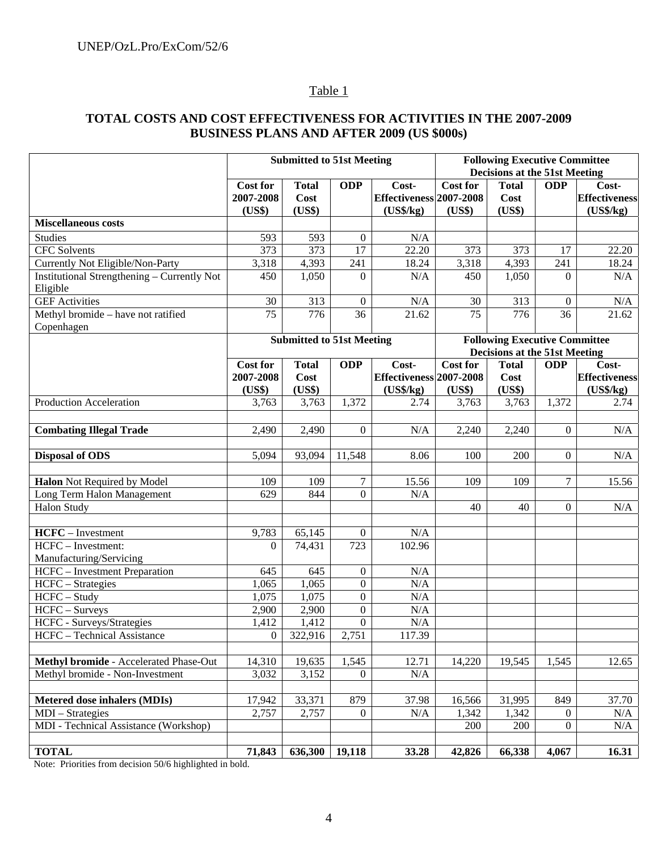# Table 1

# **TOTAL COSTS AND COST EFFECTIVENESS FOR ACTIVITIES IN THE 2007-2009 BUSINESS PLANS AND AFTER 2009 (US \$000s)**

|                                                                | <b>Submitted to 51st Meeting</b> |              |                  |                         | <b>Following Executive Committee</b><br><b>Decisions at the 51st Meeting</b> |              |                |                      |
|----------------------------------------------------------------|----------------------------------|--------------|------------------|-------------------------|------------------------------------------------------------------------------|--------------|----------------|----------------------|
|                                                                |                                  |              |                  |                         |                                                                              |              |                |                      |
|                                                                | <b>Cost for</b>                  | <b>Total</b> | <b>ODP</b>       | Cost-                   | <b>Cost for</b>                                                              | <b>Total</b> | <b>ODP</b>     | Cost-                |
|                                                                | 2007-2008                        | Cost         |                  | Effectiveness 2007-2008 |                                                                              | Cost         |                | <b>Effectiveness</b> |
|                                                                | (US\$)                           | (US\$)       |                  | $(US\$/kg)$             | (US\$)                                                                       | (US\$)       |                | (US\$/kg)            |
| <b>Miscellaneous costs</b>                                     |                                  |              |                  |                         |                                                                              |              |                |                      |
| <b>Studies</b>                                                 | 593                              | 593          | $\theta$         | N/A                     |                                                                              |              |                |                      |
| <b>CFC</b> Solvents                                            | 373                              | 373          | 17               | 22.20                   | 373                                                                          | 373          | 17             | 22.20                |
| <b>Currently Not Eligible/Non-Party</b>                        | 3,318                            | 4,393        | 241              | 18.24                   | 3,318                                                                        | 4,393        | 241            | 18.24                |
| <b>Institutional Strengthening - Currently Not</b><br>Eligible | 450                              | 1,050        | $\overline{0}$   | N/A                     | 450                                                                          | 1,050        | $\theta$       | N/A                  |
| <b>GEF Activities</b>                                          | 30                               | 313          | $\boldsymbol{0}$ | N/A                     | 30                                                                           | 313          | $\overline{0}$ | $\rm N/A$            |
| Methyl bromide - have not ratified<br>Copenhagen               | 75                               | 776          | 36               | 21.62                   | 75                                                                           | 776          | 36             | 21.62                |
|                                                                | <b>Submitted to 51st Meeting</b> |              |                  |                         | <b>Following Executive Committee</b>                                         |              |                |                      |
|                                                                |                                  |              |                  |                         | <b>Decisions at the 51st Meeting</b>                                         |              |                |                      |
|                                                                | <b>Cost for</b>                  | <b>Total</b> | <b>ODP</b>       | Cost-                   | <b>Cost for</b>                                                              | <b>Total</b> | <b>ODP</b>     | Cost-                |
|                                                                | 2007-2008                        | Cost         |                  | Effectiveness 2007-2008 |                                                                              | Cost         |                | <b>Effectiveness</b> |
|                                                                | (US\$)                           | (US\$)       |                  | $(US\$/kg)$             | (US\$)                                                                       | (US\$)       |                | (US\$/kg)            |
| Production Acceleration                                        | 3,763                            | 3,763        | 1,372            | 2.74                    | 3,763                                                                        | 3,763        | 1,372          | 2.74                 |
|                                                                |                                  |              |                  |                         |                                                                              |              |                |                      |
| <b>Combating Illegal Trade</b>                                 | 2,490                            | 2,490        | $\theta$         | N/A                     | 2,240                                                                        | 2,240        | $\overline{0}$ | N/A                  |
|                                                                |                                  |              |                  |                         |                                                                              |              |                |                      |
| <b>Disposal of ODS</b>                                         | 5,094                            | 93,094       | 11,548           | 8.06                    | 100                                                                          | 200          | $\overline{0}$ | N/A                  |
|                                                                |                                  |              |                  |                         |                                                                              |              |                |                      |
| Halon Not Required by Model                                    | 109                              | 109          | 7                | 15.56                   | 109                                                                          | 109          | $\tau$         | 15.56                |
| Long Term Halon Management                                     | 629                              | 844          | $\Omega$         | N/A                     |                                                                              |              |                |                      |
| Halon Study                                                    |                                  |              |                  |                         | 40                                                                           | 40           | $\overline{0}$ | N/A                  |
|                                                                |                                  |              |                  |                         |                                                                              |              |                |                      |
| HCFC - Investment<br>HCFC - Investment:                        | 9,783                            | 65,145       | $\boldsymbol{0}$ | N/A                     |                                                                              |              |                |                      |
| Manufacturing/Servicing                                        | 0                                | 74,431       | 723              | 102.96                  |                                                                              |              |                |                      |
| HCFC - Investment Preparation                                  | 645                              | 645          | $\boldsymbol{0}$ | N/A                     |                                                                              |              |                |                      |
| HCFC - Strategies                                              | 1,065                            | 1,065        | $\boldsymbol{0}$ | N/A                     |                                                                              |              |                |                      |
| HCFC - Study                                                   | 1,075                            | 1,075        | $\mathbf{0}$     | N/A                     |                                                                              |              |                |                      |
| HCFC - Surveys                                                 | 2,900                            | 2,900        | $\mathbf{0}$     | N/A                     |                                                                              |              |                |                      |
| HCFC - Surveys/Strategies                                      | 1,412                            | 1,412        | $\mathbf{0}$     | N/A                     |                                                                              |              |                |                      |
| HCFC - Technical Assistance                                    | $\overline{0}$                   | 322,916      | 2,751            | 117.39                  |                                                                              |              |                |                      |
|                                                                |                                  |              |                  |                         |                                                                              |              |                |                      |
| Methyl bromide - Accelerated Phase-Out                         | 14,310                           | 19,635       | 1,545            | 12.71                   | 14,220                                                                       | 19,545       | 1,545          | 12.65                |
| Methyl bromide - Non-Investment                                | 3,032                            | 3,152        | $\Omega$         | N/A                     |                                                                              |              |                |                      |
|                                                                |                                  |              |                  |                         |                                                                              |              |                |                      |
| Metered dose inhalers (MDIs)                                   | 17,942                           | 33,371       | 879              | 37.98                   | 16,566                                                                       | 31,995       | 849            | 37.70                |
| MDI – Strategies                                               | 2,757                            | 2,757        | $\overline{0}$   | N/A                     | 1,342                                                                        | 1,342        | 0              | N/A                  |
| MDI - Technical Assistance (Workshop)                          |                                  |              |                  |                         | 200                                                                          | 200          | $\overline{0}$ | N/A                  |
|                                                                |                                  |              |                  |                         |                                                                              |              |                |                      |
| <b>TOTAL</b>                                                   | 71,843                           | 636,300      | 19,118           | 33.28                   | 42,826                                                                       | 66,338       | 4,067          | 16.31                |

Note: Priorities from decision 50/6 highlighted in bold.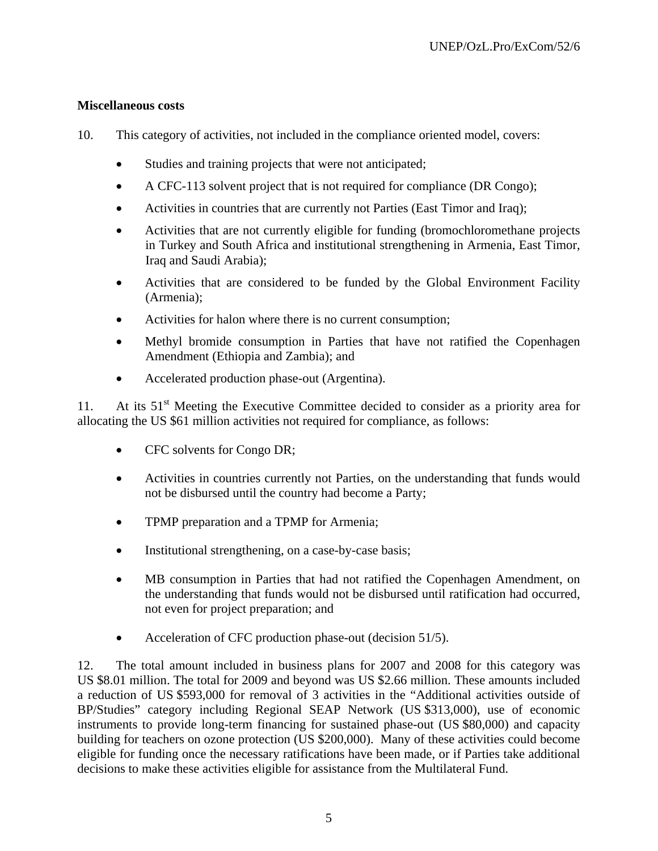#### **Miscellaneous costs**

- 10. This category of activities, not included in the compliance oriented model, covers:
	- Studies and training projects that were not anticipated;
	- A CFC-113 solvent project that is not required for compliance (DR Congo);
	- Activities in countries that are currently not Parties (East Timor and Iraq);
	- Activities that are not currently eligible for funding (bromochloromethane projects in Turkey and South Africa and institutional strengthening in Armenia, East Timor, Iraq and Saudi Arabia);
	- Activities that are considered to be funded by the Global Environment Facility (Armenia);
	- Activities for halon where there is no current consumption;
	- Methyl bromide consumption in Parties that have not ratified the Copenhagen Amendment (Ethiopia and Zambia); and
	- Accelerated production phase-out (Argentina).

11. At its  $51<sup>st</sup>$  Meeting the Executive Committee decided to consider as a priority area for allocating the US \$61 million activities not required for compliance, as follows:

- CFC solvents for Congo DR;
- Activities in countries currently not Parties, on the understanding that funds would not be disbursed until the country had become a Party;
- TPMP preparation and a TPMP for Armenia;
- Institutional strengthening, on a case-by-case basis;
- MB consumption in Parties that had not ratified the Copenhagen Amendment, on the understanding that funds would not be disbursed until ratification had occurred, not even for project preparation; and
- Acceleration of CFC production phase-out (decision 51/5).

12. The total amount included in business plans for 2007 and 2008 for this category was US \$8.01 million. The total for 2009 and beyond was US \$2.66 million. These amounts included a reduction of US \$593,000 for removal of 3 activities in the "Additional activities outside of BP/Studies" category including Regional SEAP Network (US \$313,000), use of economic instruments to provide long-term financing for sustained phase-out (US \$80,000) and capacity building for teachers on ozone protection (US \$200,000). Many of these activities could become eligible for funding once the necessary ratifications have been made, or if Parties take additional decisions to make these activities eligible for assistance from the Multilateral Fund.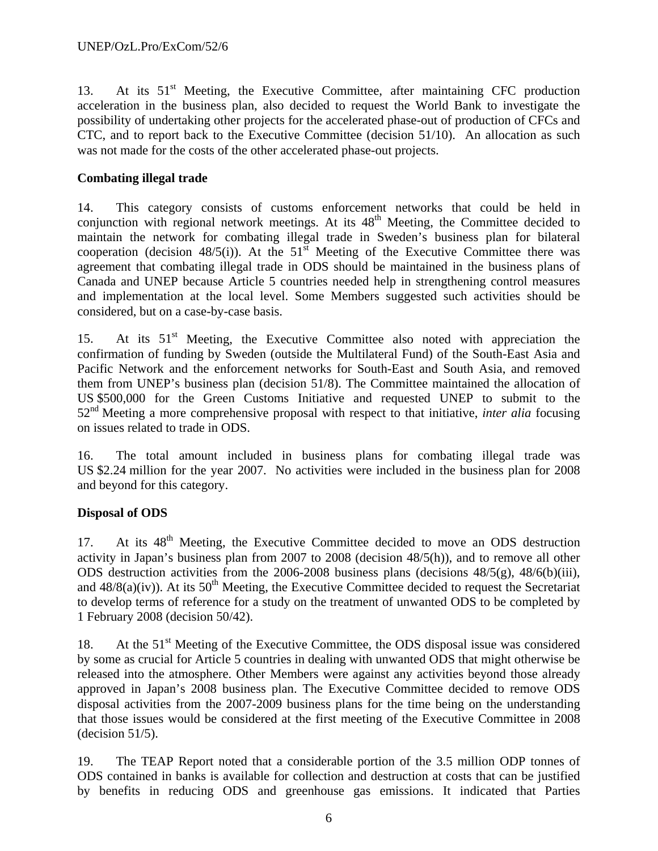13. At its  $51<sup>st</sup>$  Meeting, the Executive Committee, after maintaining CFC production acceleration in the business plan, also decided to request the World Bank to investigate the possibility of undertaking other projects for the accelerated phase-out of production of CFCs and CTC, and to report back to the Executive Committee (decision 51/10). An allocation as such was not made for the costs of the other accelerated phase-out projects.

# **Combating illegal trade**

14. This category consists of customs enforcement networks that could be held in conjunction with regional network meetings. At its 48<sup>th</sup> Meeting, the Committee decided to maintain the network for combating illegal trade in Sweden's business plan for bilateral cooperation (decision 48/5(i)). At the  $51<sup>st</sup>$  Meeting of the Executive Committee there was agreement that combating illegal trade in ODS should be maintained in the business plans of Canada and UNEP because Article 5 countries needed help in strengthening control measures and implementation at the local level. Some Members suggested such activities should be considered, but on a case-by-case basis.

15. At its  $51<sup>st</sup>$  Meeting, the Executive Committee also noted with appreciation the confirmation of funding by Sweden (outside the Multilateral Fund) of the South-East Asia and Pacific Network and the enforcement networks for South-East and South Asia, and removed them from UNEP's business plan (decision 51/8). The Committee maintained the allocation of US \$500,000 for the Green Customs Initiative and requested UNEP to submit to the 52nd Meeting a more comprehensive proposal with respect to that initiative, *inter alia* focusing on issues related to trade in ODS.

16. The total amount included in business plans for combating illegal trade was US \$2.24 million for the year 2007. No activities were included in the business plan for 2008 and beyond for this category.

# **Disposal of ODS**

17. At its 48<sup>th</sup> Meeting, the Executive Committee decided to move an ODS destruction activity in Japan's business plan from 2007 to 2008 (decision 48/5(h)), and to remove all other ODS destruction activities from the 2006-2008 business plans (decisions 48/5(g), 48/6(b)(iii), and  $48/8(a)(iv)$ ). At its  $50<sup>th</sup>$  Meeting, the Executive Committee decided to request the Secretariat to develop terms of reference for a study on the treatment of unwanted ODS to be completed by 1 February 2008 (decision 50/42).

18. At the 51<sup>st</sup> Meeting of the Executive Committee, the ODS disposal issue was considered by some as crucial for Article 5 countries in dealing with unwanted ODS that might otherwise be released into the atmosphere. Other Members were against any activities beyond those already approved in Japan's 2008 business plan. The Executive Committee decided to remove ODS disposal activities from the 2007-2009 business plans for the time being on the understanding that those issues would be considered at the first meeting of the Executive Committee in 2008  $-decision 51/5$ ).

19. The TEAP Report noted that a considerable portion of the 3.5 million ODP tonnes of ODS contained in banks is available for collection and destruction at costs that can be justified by benefits in reducing ODS and greenhouse gas emissions. It indicated that Parties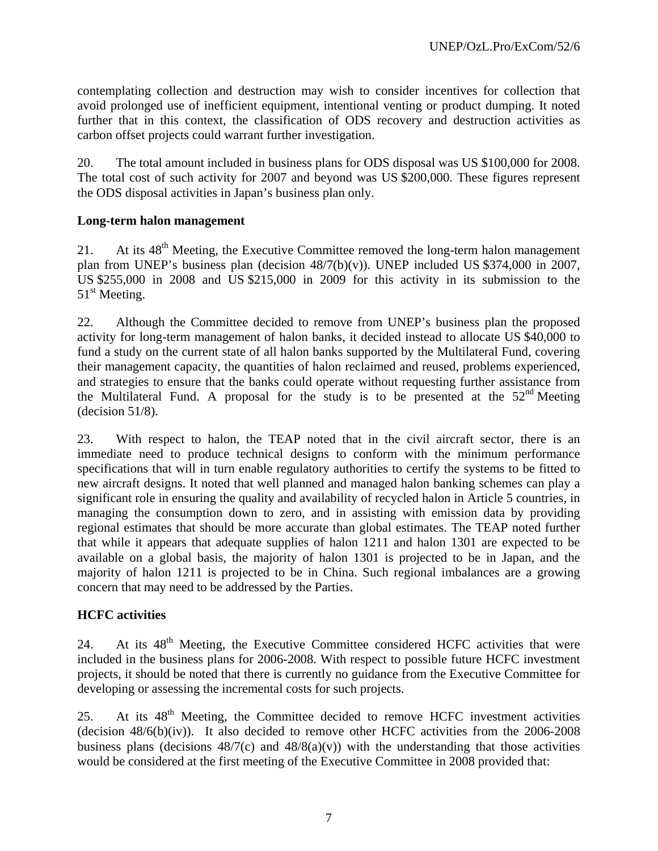contemplating collection and destruction may wish to consider incentives for collection that avoid prolonged use of inefficient equipment, intentional venting or product dumping. It noted further that in this context, the classification of ODS recovery and destruction activities as carbon offset projects could warrant further investigation.

20. The total amount included in business plans for ODS disposal was US \$100,000 for 2008. The total cost of such activity for 2007 and beyond was US \$200,000. These figures represent the ODS disposal activities in Japan's business plan only.

#### **Long-term halon management**

21. At its  $48<sup>th</sup>$  Meeting, the Executive Committee removed the long-term halon management plan from UNEP's business plan (decision 48/7(b)(v)). UNEP included US \$374,000 in 2007, US \$255,000 in 2008 and US \$215,000 in 2009 for this activity in its submission to the 51<sup>st</sup> Meeting.

22. Although the Committee decided to remove from UNEP's business plan the proposed activity for long-term management of halon banks, it decided instead to allocate US \$40,000 to fund a study on the current state of all halon banks supported by the Multilateral Fund, covering their management capacity, the quantities of halon reclaimed and reused, problems experienced, and strategies to ensure that the banks could operate without requesting further assistance from the Multilateral Fund. A proposal for the study is to be presented at the  $52<sup>nd</sup>$  Meeting  $-decision 51/8$ ).

23. With respect to halon, the TEAP noted that in the civil aircraft sector, there is an immediate need to produce technical designs to conform with the minimum performance specifications that will in turn enable regulatory authorities to certify the systems to be fitted to new aircraft designs. It noted that well planned and managed halon banking schemes can play a significant role in ensuring the quality and availability of recycled halon in Article 5 countries, in managing the consumption down to zero, and in assisting with emission data by providing regional estimates that should be more accurate than global estimates. The TEAP noted further that while it appears that adequate supplies of halon 1211 and halon 1301 are expected to be available on a global basis, the majority of halon 1301 is projected to be in Japan, and the majority of halon 1211 is projected to be in China. Such regional imbalances are a growing concern that may need to be addressed by the Parties.

## **HCFC activities**

24. At its 48<sup>th</sup> Meeting, the Executive Committee considered HCFC activities that were included in the business plans for 2006-2008. With respect to possible future HCFC investment projects, it should be noted that there is currently no guidance from the Executive Committee for developing or assessing the incremental costs for such projects.

25. At its  $48<sup>th</sup>$  Meeting, the Committee decided to remove HCFC investment activities (decision  $48/6(b)(iv)$ ). It also decided to remove other HCFC activities from the 2006-2008 business plans (decisions  $48/7(c)$  and  $48/8(a)(v)$ ) with the understanding that those activities would be considered at the first meeting of the Executive Committee in 2008 provided that: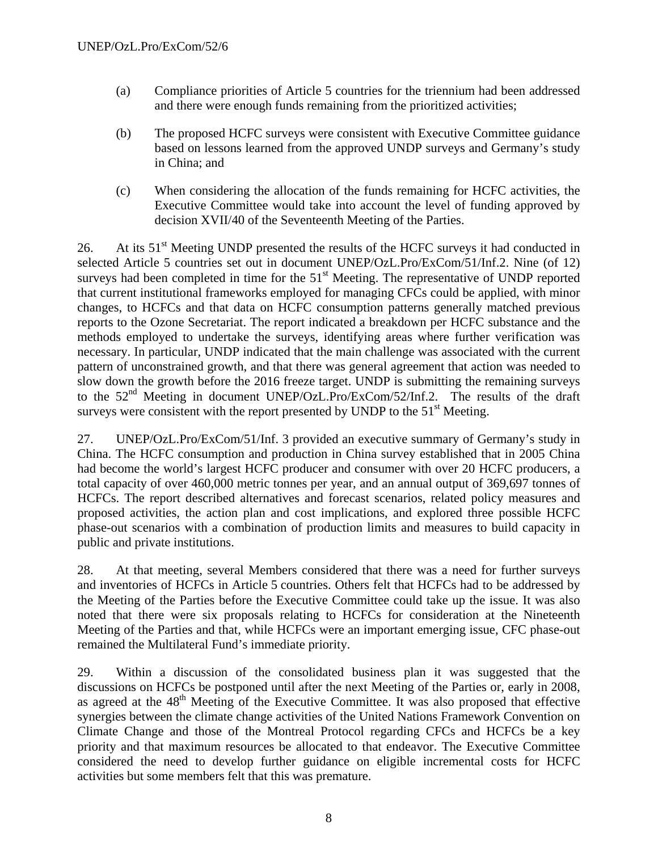- (a) Compliance priorities of Article 5 countries for the triennium had been addressed and there were enough funds remaining from the prioritized activities;
- (b) The proposed HCFC surveys were consistent with Executive Committee guidance based on lessons learned from the approved UNDP surveys and Germany's study in China; and
- (c) When considering the allocation of the funds remaining for HCFC activities, the Executive Committee would take into account the level of funding approved by decision XVII/40 of the Seventeenth Meeting of the Parties.

26. At its  $51<sup>st</sup>$  Meeting UNDP presented the results of the HCFC surveys it had conducted in selected Article 5 countries set out in document UNEP/OzL.Pro/ExCom/51/Inf.2. Nine (of 12) surveys had been completed in time for the 51<sup>st</sup> Meeting. The representative of UNDP reported that current institutional frameworks employed for managing CFCs could be applied, with minor changes, to HCFCs and that data on HCFC consumption patterns generally matched previous reports to the Ozone Secretariat. The report indicated a breakdown per HCFC substance and the methods employed to undertake the surveys, identifying areas where further verification was necessary. In particular, UNDP indicated that the main challenge was associated with the current pattern of unconstrained growth, and that there was general agreement that action was needed to slow down the growth before the 2016 freeze target. UNDP is submitting the remaining surveys to the 52nd Meeting in document UNEP/OzL.Pro/ExCom/52/Inf.2. The results of the draft surveys were consistent with the report presented by UNDP to the  $51<sup>st</sup>$  Meeting.

27. UNEP/OzL.Pro/ExCom/51/Inf. 3 provided an executive summary of Germany's study in China. The HCFC consumption and production in China survey established that in 2005 China had become the world's largest HCFC producer and consumer with over 20 HCFC producers, a total capacity of over 460,000 metric tonnes per year, and an annual output of 369,697 tonnes of HCFCs. The report described alternatives and forecast scenarios, related policy measures and proposed activities, the action plan and cost implications, and explored three possible HCFC phase-out scenarios with a combination of production limits and measures to build capacity in public and private institutions.

28. At that meeting, several Members considered that there was a need for further surveys and inventories of HCFCs in Article 5 countries. Others felt that HCFCs had to be addressed by the Meeting of the Parties before the Executive Committee could take up the issue. It was also noted that there were six proposals relating to HCFCs for consideration at the Nineteenth Meeting of the Parties and that, while HCFCs were an important emerging issue, CFC phase-out remained the Multilateral Fund's immediate priority.

29. Within a discussion of the consolidated business plan it was suggested that the discussions on HCFCs be postponed until after the next Meeting of the Parties or, early in 2008, as agreed at the 48<sup>th</sup> Meeting of the Executive Committee. It was also proposed that effective synergies between the climate change activities of the United Nations Framework Convention on Climate Change and those of the Montreal Protocol regarding CFCs and HCFCs be a key priority and that maximum resources be allocated to that endeavor. The Executive Committee considered the need to develop further guidance on eligible incremental costs for HCFC activities but some members felt that this was premature.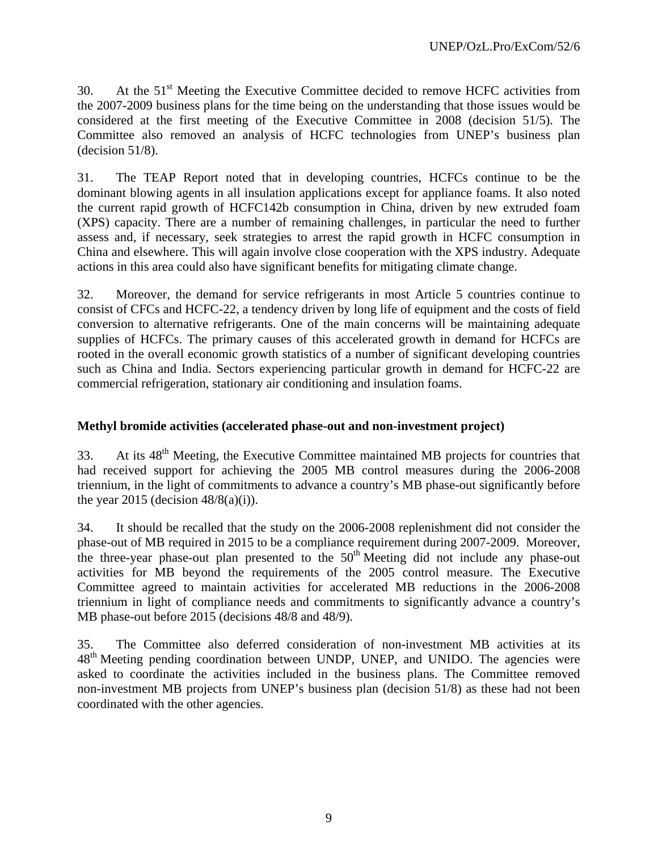30. At the  $51<sup>st</sup>$  Meeting the Executive Committee decided to remove HCFC activities from the 2007-2009 business plans for the time being on the understanding that those issues would be considered at the first meeting of the Executive Committee in 2008 (decision 51/5). The Committee also removed an analysis of HCFC technologies from UNEP's business plan  $-decision 51/8$ ).

31. The TEAP Report noted that in developing countries, HCFCs continue to be the dominant blowing agents in all insulation applications except for appliance foams. It also noted the current rapid growth of HCFC142b consumption in China, driven by new extruded foam (XPS) capacity. There are a number of remaining challenges, in particular the need to further assess and, if necessary, seek strategies to arrest the rapid growth in HCFC consumption in China and elsewhere. This will again involve close cooperation with the XPS industry. Adequate actions in this area could also have significant benefits for mitigating climate change.

32. Moreover, the demand for service refrigerants in most Article 5 countries continue to consist of CFCs and HCFC-22, a tendency driven by long life of equipment and the costs of field conversion to alternative refrigerants. One of the main concerns will be maintaining adequate supplies of HCFCs. The primary causes of this accelerated growth in demand for HCFCs are rooted in the overall economic growth statistics of a number of significant developing countries such as China and India. Sectors experiencing particular growth in demand for HCFC-22 are commercial refrigeration, stationary air conditioning and insulation foams.

# **Methyl bromide activities (accelerated phase-out and non-investment project)**

33. At its 48<sup>th</sup> Meeting, the Executive Committee maintained MB projects for countries that had received support for achieving the 2005 MB control measures during the 2006-2008 triennium, in the light of commitments to advance a country's MB phase-out significantly before the year 2015 (decision  $48/8(a)(i)$ ).

34. It should be recalled that the study on the 2006-2008 replenishment did not consider the phase-out of MB required in 2015 to be a compliance requirement during 2007-2009. Moreover, the three-year phase-out plan presented to the  $50<sup>th</sup>$  Meeting did not include any phase-out activities for MB beyond the requirements of the 2005 control measure. The Executive Committee agreed to maintain activities for accelerated MB reductions in the 2006-2008 triennium in light of compliance needs and commitments to significantly advance a country's MB phase-out before 2015 (decisions 48/8 and 48/9).

35. The Committee also deferred consideration of non-investment MB activities at its 48<sup>th</sup> Meeting pending coordination between UNDP, UNEP, and UNIDO. The agencies were asked to coordinate the activities included in the business plans. The Committee removed non-investment MB projects from UNEP's business plan (decision 51/8) as these had not been coordinated with the other agencies.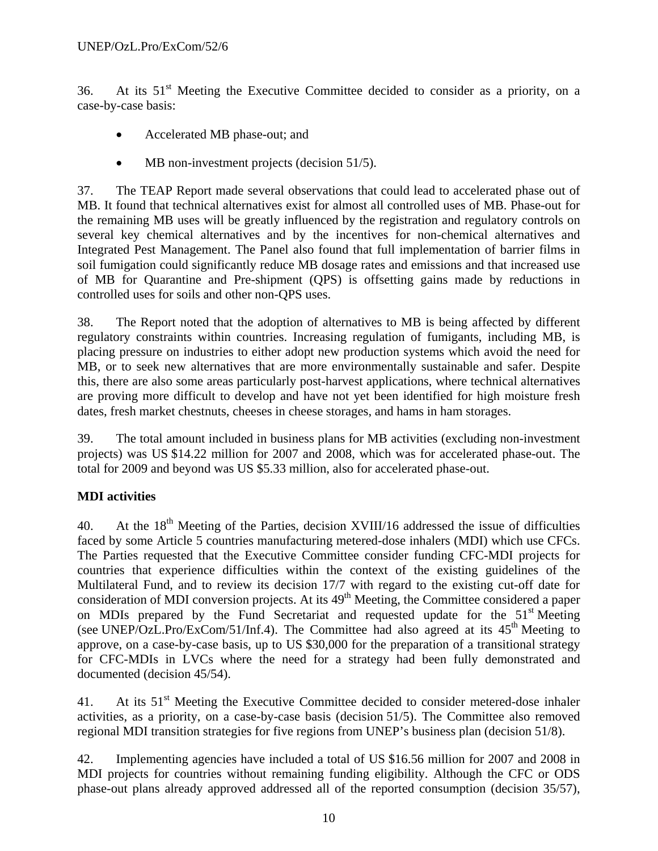36. At its  $51<sup>st</sup>$  Meeting the Executive Committee decided to consider as a priority, on a case-by-case basis:

- Accelerated MB phase-out; and
- MB non-investment projects (decision 51/5).

37. The TEAP Report made several observations that could lead to accelerated phase out of MB. It found that technical alternatives exist for almost all controlled uses of MB. Phase-out for the remaining MB uses will be greatly influenced by the registration and regulatory controls on several key chemical alternatives and by the incentives for non-chemical alternatives and Integrated Pest Management. The Panel also found that full implementation of barrier films in soil fumigation could significantly reduce MB dosage rates and emissions and that increased use of MB for Quarantine and Pre-shipment (QPS) is offsetting gains made by reductions in controlled uses for soils and other non-QPS uses.

38. The Report noted that the adoption of alternatives to MB is being affected by different regulatory constraints within countries. Increasing regulation of fumigants, including MB, is placing pressure on industries to either adopt new production systems which avoid the need for MB, or to seek new alternatives that are more environmentally sustainable and safer. Despite this, there are also some areas particularly post-harvest applications, where technical alternatives are proving more difficult to develop and have not yet been identified for high moisture fresh dates, fresh market chestnuts, cheeses in cheese storages, and hams in ham storages.

39. The total amount included in business plans for MB activities (excluding non-investment projects) was US \$14.22 million for 2007 and 2008, which was for accelerated phase-out. The total for 2009 and beyond was US \$5.33 million, also for accelerated phase-out.

# **MDI activities**

40. At the  $18<sup>th</sup>$  Meeting of the Parties, decision XVIII/16 addressed the issue of difficulties faced by some Article 5 countries manufacturing metered-dose inhalers (MDI) which use CFCs. The Parties requested that the Executive Committee consider funding CFC-MDI projects for countries that experience difficulties within the context of the existing guidelines of the Multilateral Fund, and to review its decision 17/7 with regard to the existing cut-off date for consideration of MDI conversion projects. At its  $49<sup>th</sup>$  Meeting, the Committee considered a paper on MDIs prepared by the Fund Secretariat and requested update for the 51<sup>st</sup> Meeting (see UNEP/OzL.Pro/ExCom/51/Inf.4). The Committee had also agreed at its  $45<sup>th</sup>$  Meeting to approve, on a case-by-case basis, up to US \$30,000 for the preparation of a transitional strategy for CFC-MDIs in LVCs where the need for a strategy had been fully demonstrated and documented (decision 45/54).

41. At its  $51<sup>st</sup>$  Meeting the Executive Committee decided to consider metered-dose inhaler activities, as a priority, on a case-by-case basis (decision 51/5). The Committee also removed regional MDI transition strategies for five regions from UNEP's business plan (decision 51/8).

42. Implementing agencies have included a total of US \$16.56 million for 2007 and 2008 in MDI projects for countries without remaining funding eligibility. Although the CFC or ODS phase-out plans already approved addressed all of the reported consumption (decision 35/57),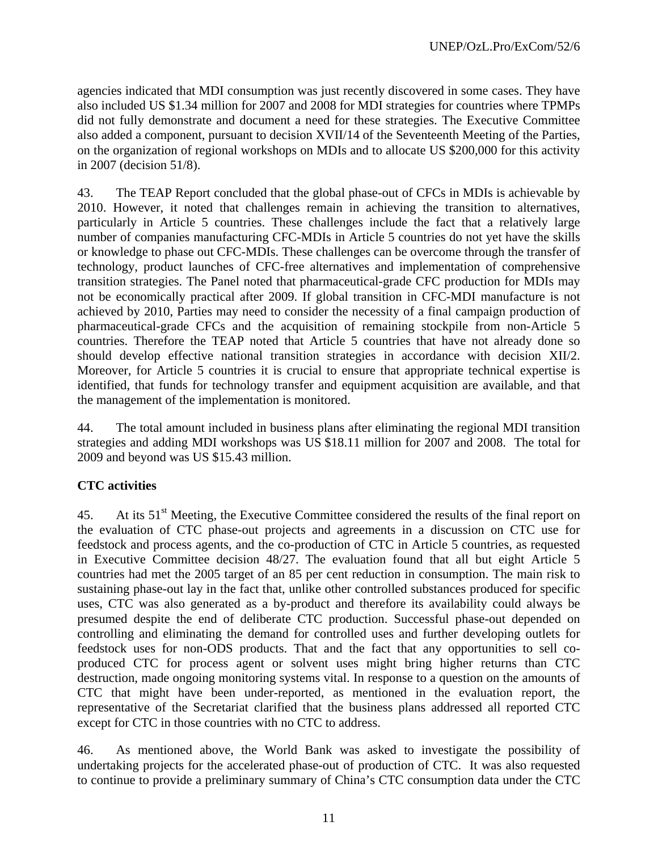agencies indicated that MDI consumption was just recently discovered in some cases. They have also included US \$1.34 million for 2007 and 2008 for MDI strategies for countries where TPMPs did not fully demonstrate and document a need for these strategies. The Executive Committee also added a component, pursuant to decision XVII/14 of the Seventeenth Meeting of the Parties, on the organization of regional workshops on MDIs and to allocate US \$200,000 for this activity in 2007 (decision 51/8).

43. The TEAP Report concluded that the global phase-out of CFCs in MDIs is achievable by 2010. However, it noted that challenges remain in achieving the transition to alternatives, particularly in Article 5 countries. These challenges include the fact that a relatively large number of companies manufacturing CFC-MDIs in Article 5 countries do not yet have the skills or knowledge to phase out CFC-MDIs. These challenges can be overcome through the transfer of technology, product launches of CFC-free alternatives and implementation of comprehensive transition strategies. The Panel noted that pharmaceutical-grade CFC production for MDIs may not be economically practical after 2009. If global transition in CFC-MDI manufacture is not achieved by 2010, Parties may need to consider the necessity of a final campaign production of pharmaceutical-grade CFCs and the acquisition of remaining stockpile from non-Article 5 countries. Therefore the TEAP noted that Article 5 countries that have not already done so should develop effective national transition strategies in accordance with decision XII/2. Moreover, for Article 5 countries it is crucial to ensure that appropriate technical expertise is identified, that funds for technology transfer and equipment acquisition are available, and that the management of the implementation is monitored.

44. The total amount included in business plans after eliminating the regional MDI transition strategies and adding MDI workshops was US \$18.11 million for 2007 and 2008. The total for 2009 and beyond was US \$15.43 million.

## **CTC activities**

45. At its 51<sup>st</sup> Meeting, the Executive Committee considered the results of the final report on the evaluation of CTC phase-out projects and agreements in a discussion on CTC use for feedstock and process agents, and the co-production of CTC in Article 5 countries, as requested in Executive Committee decision 48/27. The evaluation found that all but eight Article 5 countries had met the 2005 target of an 85 per cent reduction in consumption. The main risk to sustaining phase-out lay in the fact that, unlike other controlled substances produced for specific uses, CTC was also generated as a by-product and therefore its availability could always be presumed despite the end of deliberate CTC production. Successful phase-out depended on controlling and eliminating the demand for controlled uses and further developing outlets for feedstock uses for non-ODS products. That and the fact that any opportunities to sell coproduced CTC for process agent or solvent uses might bring higher returns than CTC destruction, made ongoing monitoring systems vital. In response to a question on the amounts of CTC that might have been under-reported, as mentioned in the evaluation report, the representative of the Secretariat clarified that the business plans addressed all reported CTC except for CTC in those countries with no CTC to address.

46. As mentioned above, the World Bank was asked to investigate the possibility of undertaking projects for the accelerated phase-out of production of CTC. It was also requested to continue to provide a preliminary summary of China's CTC consumption data under the CTC